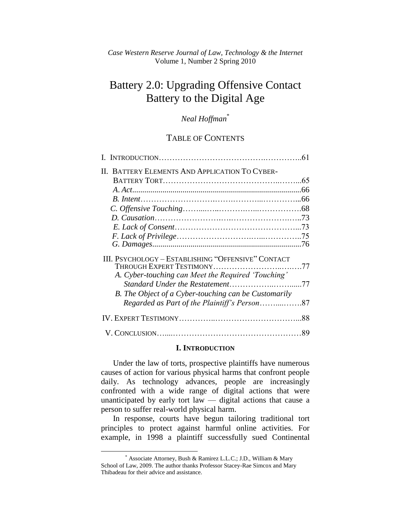# Battery 2.0: Upgrading Offensive Contact Battery to the Digital Age

# *Neal Hoffman*\*

# TABLE OF CONTENTS

| II. BATTERY ELEMENTS AND APPLICATION TO CYBER-       |    |
|------------------------------------------------------|----|
|                                                      |    |
|                                                      |    |
|                                                      |    |
|                                                      |    |
|                                                      |    |
|                                                      |    |
|                                                      |    |
|                                                      |    |
| III. PSYCHOLOGY - ESTABLISHING "OFFENSIVE" CONTACT   |    |
| A. Cyber-touching can Meet the Required 'Touching'   |    |
|                                                      |    |
| B. The Object of a Cyber-touching can be Customarily |    |
|                                                      |    |
|                                                      |    |
|                                                      | 89 |

#### **I. INTRODUCTION**

Under the law of torts, prospective plaintiffs have numerous causes of action for various physical harms that confront people daily. As technology advances, people are increasingly confronted with a wide range of digital actions that were unanticipated by early tort law — digital actions that cause a person to suffer real-world physical harm.

In response, courts have begun tailoring traditional tort principles to protect against harmful online activities. For example, in 1998 a plaintiff successfully sued Continental

<sup>\*</sup> Associate Attorney, Bush & Ramirez L.L.C.; J.D., William & Mary School of Law, 2009. The author thanks Professor Stacey-Rae Simcox and Mary Thibadeau for their advice and assistance.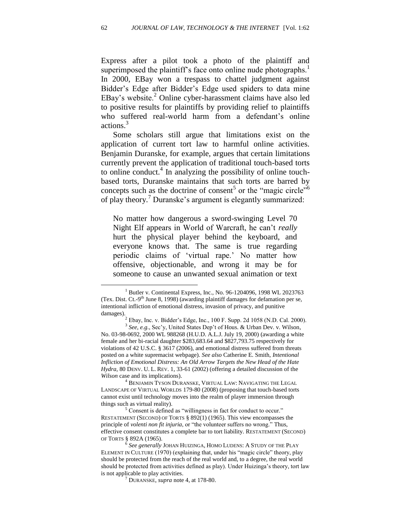Express after a pilot took a photo of the plaintiff and superimposed the plaintiff's face onto online nude photographs.<sup>1</sup> In 2000, EBay won a trespass to chattel judgment against Bidder's Edge after Bidder's Edge used spiders to data mine EBay's website.<sup>2</sup> Online cyber-harassment claims have also led to positive results for plaintiffs by providing relief to plaintiffs who suffered real-world harm from a defendant's online actions.<sup>3</sup>

Some scholars still argue that limitations exist on the application of current tort law to harmful online activities. Benjamin Duranske, for example, argues that certain limitations currently prevent the application of traditional touch-based torts to online conduct.<sup>4</sup> In analyzing the possibility of online touchbased torts, Duranske maintains that such torts are barred by concepts such as the doctrine of consent<sup>5</sup> or the "magic circle"<sup>6</sup> of play theory.<sup>7</sup> Duranske's argument is elegantly summarized:

No matter how dangerous a sword-swinging Level 70 Night Elf appears in World of Warcraft, he can't *really* hurt the physical player behind the keyboard, and everyone knows that. The same is true regarding periodic claims of ‗virtual rape.' No matter how offensive, objectionable, and wrong it may be for someone to cause an unwanted sexual animation or text

<sup>&</sup>lt;sup>1</sup> Butler v. Continental Express, Inc., No. 96-1204096, 1998 WL 2023763 (Tex. Dist. Ct.-9<sup>th</sup> June 8, 1998) (awarding plaintiff damages for defamation per se, intentional infliction of emotional distress, invasion of privacy, and punitive damages).

<sup>2</sup> Ebay, Inc. v. Bidder's Edge, Inc., 100 F. Supp. 2d 1058 (N.D. Cal. 2000). 3 *See, e.g.*, Sec'y, United States Dep't of Hous. & Urban Dev. v. Wilson,

No. 03-98-0692, 2000 WL 988268 (H.U.D. A.L.J. July 19, 2000) (awarding a white female and her bi-racial daughter \$283,683.64 and \$827,793.75 respectively for violations of 42 U.S.C. § 3617 (2006), and emotional distress suffered from threats posted on a white supremacist webpage). *See also* Catherine E. Smith, *Intentional Infliction of Emotional Distress: An Old Arrow Targets the New Head of the Hate Hydra*, 80 DENV. U. L. REV. 1, 33-61 (2002) (offering a detailed discussion of the *Wilson* case and its implications).

<sup>4</sup> BENJAMIN TYSON DURANSKE, VIRTUAL LAW: NAVIGATING THE LEGAL LANDSCAPE OF VIRTUAL WORLDS 179-80 (2008) (proposing that touch-based torts cannot exist until technology moves into the realm of player immersion through things such as virtual reality).

<sup>&</sup>lt;sup>5</sup> Consent is defined as "willingness in fact for conduct to occur." RESTATEMENT (SECOND) OF TORTS § 892(1) (1965). This view encompasses the principle of *volenti non fit injuria*, or "the volunteer suffers no wrong." Thus, effective consent constitutes a complete bar to tort liability. RESTATEMENT (SECOND) OF TORTS § 892A (1965).

<sup>6</sup> *See generally* JOHAN HUIZINGA, HOMO LUDENS: A STUDY OF THE PLAY ELEMENT IN CULTURE  $(1970)$  (explaining that, under his "magic circle" theory, play should be protected from the reach of the real world and, to a degree, the real world should be protected from activities defined as play). Under Huizinga's theory, tort law is not applicable to play activities.

<sup>7</sup> DURANSKE, *supra* note 4, at 178-80.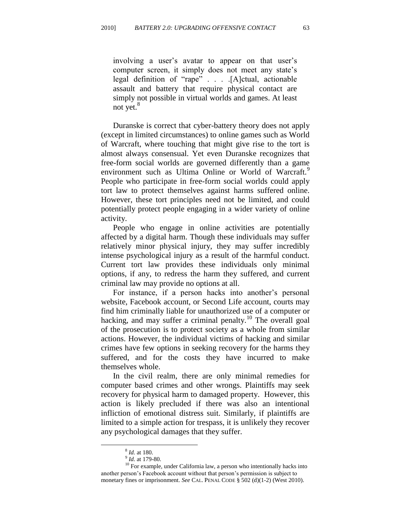involving a user's avatar to appear on that user's computer screen, it simply does not meet any state's legal definition of "rape" . . . . [A]ctual, actionable assault and battery that require physical contact are simply not possible in virtual worlds and games. At least not yet.<sup>8</sup>

Duranske is correct that cyber-battery theory does not apply (except in limited circumstances) to online games such as World of Warcraft, where touching that might give rise to the tort is almost always consensual. Yet even Duranske recognizes that free-form social worlds are governed differently than a game environment such as Ultima Online or World of Warcraft.<sup>9</sup> People who participate in free-form social worlds could apply tort law to protect themselves against harms suffered online. However, these tort principles need not be limited, and could potentially protect people engaging in a wider variety of online activity.

People who engage in online activities are potentially affected by a digital harm. Though these individuals may suffer relatively minor physical injury, they may suffer incredibly intense psychological injury as a result of the harmful conduct. Current tort law provides these individuals only minimal options, if any, to redress the harm they suffered, and current criminal law may provide no options at all.

For instance, if a person hacks into another's personal website, Facebook account, or Second Life account, courts may find him criminally liable for unauthorized use of a computer or hacking, and may suffer a criminal penalty.<sup>10</sup> The overall goal of the prosecution is to protect society as a whole from similar actions. However, the individual victims of hacking and similar crimes have few options in seeking recovery for the harms they suffered, and for the costs they have incurred to make themselves whole.

In the civil realm, there are only minimal remedies for computer based crimes and other wrongs. Plaintiffs may seek recovery for physical harm to damaged property. However, this action is likely precluded if there was also an intentional infliction of emotional distress suit. Similarly, if plaintiffs are limited to a simple action for trespass, it is unlikely they recover any psychological damages that they suffer.

<sup>8</sup> *Id.* at 180.

<sup>9</sup> *Id.* at 179-80.

 $^{10}$  For example, under California law, a person who intentionally hacks into another person's Facebook account without that person's permission is subject to monetary fines or imprisonment. *See* CAL. PENAL CODE § 502 (d)(1-2) (West 2010).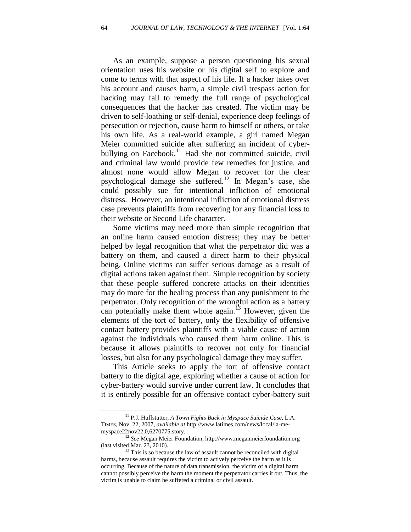As an example, suppose a person questioning his sexual orientation uses his website or his digital self to explore and come to terms with that aspect of his life. If a hacker takes over his account and causes harm, a simple civil trespass action for hacking may fail to remedy the full range of psychological consequences that the hacker has created. The victim may be driven to self-loathing or self-denial, experience deep feelings of persecution or rejection, cause harm to himself or others, or take his own life. As a real-world example, a girl named Megan Meier committed suicide after suffering an incident of cyberbullying on Facebook.<sup>11</sup> Had she not committed suicide, civil and criminal law would provide few remedies for justice, and almost none would allow Megan to recover for the clear psychological damage she suffered.<sup>12</sup> In Megan's case, she could possibly sue for intentional infliction of emotional distress. However, an intentional infliction of emotional distress case prevents plaintiffs from recovering for any financial loss to their website or Second Life character.

Some victims may need more than simple recognition that an online harm caused emotion distress; they may be better helped by legal recognition that what the perpetrator did was a battery on them, and caused a direct harm to their physical being. Online victims can suffer serious damage as a result of digital actions taken against them. Simple recognition by society that these people suffered concrete attacks on their identities may do more for the healing process than any punishment to the perpetrator. Only recognition of the wrongful action as a battery can potentially make them whole again.<sup>13</sup> However, given the elements of the tort of battery, only the flexibility of offensive contact battery provides plaintiffs with a viable cause of action against the individuals who caused them harm online. This is because it allows plaintiffs to recover not only for financial losses, but also for any psychological damage they may suffer.

This Article seeks to apply the tort of offensive contact battery to the digital age, exploring whether a cause of action for cyber-battery would survive under current law. It concludes that it is entirely possible for an offensive contact cyber-battery suit

<sup>11</sup> P.J. Huffstutter, *A Town Fights Back in Myspace Suicide Case*, L.A. TIMES, Nov. 22, 2007, *available at* http://www.latimes.com/news/local/la-memyspace22nov22,0,6270775.story.

<sup>12</sup> *See* Megan Meier Foundation, http://www.meganmeierfoundation.org (last visited Mar. 23, 2010).

 $13$  This is so because the law of assault cannot be reconciled with digital harms, because assault requires the victim to actively perceive the harm as it is occurring. Because of the nature of data transmission, the victim of a digital harm cannot possibly perceive the harm the moment the perpetrator carries it out. Thus, the victim is unable to claim he suffered a criminal or civil assault.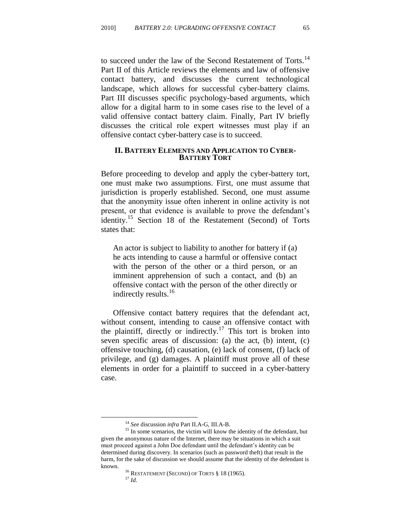to succeed under the law of the Second Restatement of Torts.<sup>14</sup> Part II of this Article reviews the elements and law of offensive contact battery, and discusses the current technological landscape, which allows for successful cyber-battery claims. Part III discusses specific psychology-based arguments, which allow for a digital harm to in some cases rise to the level of a valid offensive contact battery claim. Finally, Part IV briefly discusses the critical role expert witnesses must play if an offensive contact cyber-battery case is to succeed.

#### **II. BATTERY ELEMENTS AND APPLICATION TO CYBER-BATTERY TORT**

Before proceeding to develop and apply the cyber-battery tort, one must make two assumptions. First, one must assume that jurisdiction is properly established. Second, one must assume that the anonymity issue often inherent in online activity is not present, or that evidence is available to prove the defendant's identity.<sup>15</sup> Section 18 of the Restatement (Second) of Torts states that:

An actor is subject to liability to another for battery if (a) he acts intending to cause a harmful or offensive contact with the person of the other or a third person, or an imminent apprehension of such a contact, and (b) an offensive contact with the person of the other directly or indirectly results.<sup>16</sup>

Offensive contact battery requires that the defendant act, without consent, intending to cause an offensive contact with the plaintiff, directly or indirectly.<sup>17</sup> This tort is broken into seven specific areas of discussion: (a) the act, (b) intent, (c) offensive touching, (d) causation, (e) lack of consent, (f) lack of privilege, and (g) damages. A plaintiff must prove all of these elements in order for a plaintiff to succeed in a cyber-battery case.

<sup>14</sup> *See* discussion *infra* Part II.A-G, III.A-B.

<sup>&</sup>lt;sup>15</sup> In some scenarios, the victim will know the identity of the defendant, but given the anonymous nature of the Internet, there may be situations in which a suit must proceed against a John Doe defendant until the defendant's identity can be determined during discovery. In scenarios (such as password theft) that result in the harm, for the sake of discussion we should assume that the identity of the defendant is known.

<sup>&</sup>lt;sup>16</sup> RESTATEMENT (SECOND) OF TORTS § 18 (1965).

<sup>17</sup> *Id.*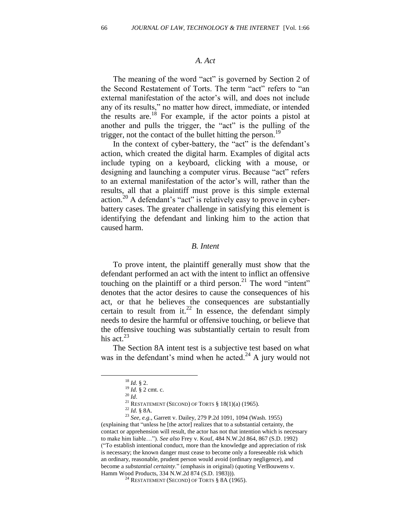#### *A. Act*

The meaning of the word "act" is governed by Section 2 of the Second Restatement of Torts. The term "act" refers to "an external manifestation of the actor's will, and does not include any of its results," no matter how direct, immediate, or intended the results are.<sup>18</sup> For example, if the actor points a pistol at another and pulls the trigger, the "act" is the pulling of the trigger, not the contact of the bullet hitting the person.<sup>19</sup>

In the context of cyber-battery, the "act" is the defendant's action, which created the digital harm. Examples of digital acts include typing on a keyboard, clicking with a mouse, or designing and launching a computer virus. Because "act" refers to an external manifestation of the actor's will, rather than the results, all that a plaintiff must prove is this simple external action.<sup>20</sup> A defendant's "act" is relatively easy to prove in cyberbattery cases. The greater challenge in satisfying this element is identifying the defendant and linking him to the action that caused harm.

#### *B. Intent*

To prove intent, the plaintiff generally must show that the defendant performed an act with the intent to inflict an offensive touching on the plaintiff or a third person.<sup>21</sup> The word "intent" denotes that the actor desires to cause the consequences of his act, or that he believes the consequences are substantially certain to result from it.<sup>22</sup> In essence, the defendant simply needs to desire the harmful or offensive touching, or believe that the offensive touching was substantially certain to result from his act. $^{23}$ 

The Section 8A intent test is a subjective test based on what was in the defendant's mind when he acted.<sup>24</sup> A jury would not

<sup>18</sup> *Id.* § 2.

<sup>19</sup> *Id.* § 2 cmt. c.

 $^{20}$   $\mathrm{Id}.$ 

<sup>&</sup>lt;sup>21</sup> RESTATEMENT (SECOND) OF TORTS  $§$  18(1)(a) (1965).

<sup>22</sup> *Id.* § 8A.

<sup>23</sup> *See, e.g.*, Garrett v. Dailey, 279 P.2d 1091, 1094 (Wash. 1955) (explaining that "unless he [the actor] realizes that to a substantial certainty, the contact or apprehension will result, the actor has not that intention which is necessary to make him liable…‖). *See also* Frey v. Kouf, 484 N.W.2d 864, 867 (S.D. 1992) (―To establish intentional conduct, more than the knowledge and appreciation of risk is necessary; the known danger must cease to become only a foreseeable risk which an ordinary, reasonable, prudent person would avoid (ordinary negligence), and become a *substantial certainty*." (emphasis in original) (quoting VerBouwens v. [Hamm Wood Products,](http://www.westlaw.com/Find/Default.wl?rs=dfa1.0&vr=2.0&DB=595&FindType=Y&SerialNum=1983128440) 334 N.W.2d 874 (S.D. 1983))).

<sup>&</sup>lt;sup>24</sup> RESTATEMENT (SECOND) OF TORTS  $§ 8A(1965)$ .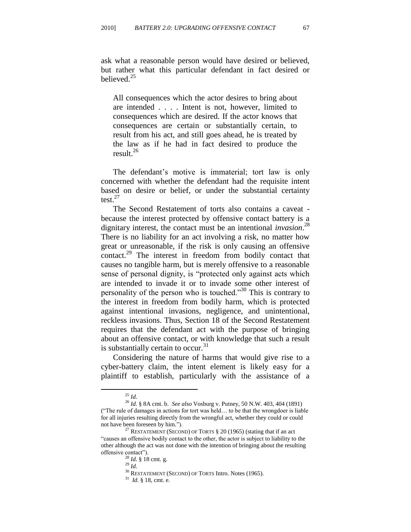ask what a reasonable person would have desired or believed, but rather what this particular defendant in fact desired or believed. $25$ 

All consequences which the actor desires to bring about are intended . . . . Intent is not, however, limited to consequences which are desired. If the actor knows that consequences are certain or substantially certain, to result from his act, and still goes ahead, he is treated by the law as if he had in fact desired to produce the result.<sup>26</sup>

The defendant's motive is immaterial; tort law is only concerned with whether the defendant had the requisite intent based on desire or belief, or under the substantial certainty test. $^{27}$ 

The Second Restatement of torts also contains a caveat because the interest protected by offensive contact battery is a dignitary interest, the contact must be an intentional *invasion*. 28 There is no liability for an act involving a risk, no matter how great or unreasonable, if the risk is only causing an offensive contact.<sup>29</sup> The interest in freedom from bodily contact that causes no tangible harm, but is merely offensive to a reasonable sense of personal dignity, is "protected only against acts which are intended to invade it or to invade some other interest of personality of the person who is touched.<sup>330</sup> This is contrary to the interest in freedom from bodily harm, which is protected against intentional invasions, negligence, and unintentional, reckless invasions. Thus, Section 18 of the Second Restatement requires that the defendant act with the purpose of bringing about an offensive contact, or with knowledge that such a result is substantially certain to occur.  $31$ 

Considering the nature of harms that would give rise to a cyber-battery claim, the intent element is likely easy for a plaintiff to establish, particularly with the assistance of a

<sup>25</sup> *Id.*

<sup>26</sup> *Id.* § 8A cmt. b. *See also* Vosburg v. Putney, 50 N.W. 403, 404 (1891) (―The rule of damages in actions for tort was held… to be that the wrongdoer is liable for all injuries resulting directly from the wrongful act, whether they could or could not have been foreseen by him.").

RESTATEMENT (SECOND) OF TORTS § 20 (1965) (stating that if an act ―causes an offensive bodily contact to the other, the actor is subject to liability to the other although the act was not done with the intention of bringing about the resulting offensive contact").

<sup>28</sup> *Id.* § 18 cmt. g.

<sup>29</sup> *Id.*

<sup>&</sup>lt;sup>30</sup> RESTATEMENT (SECOND) OF TORTS Intro. Notes (1965).

<sup>31</sup> *Id.* § 18, cmt. e.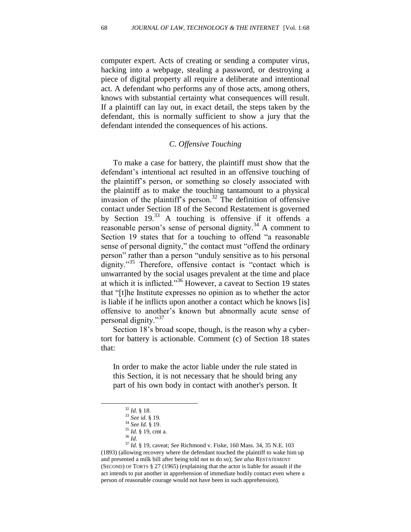computer expert. Acts of creating or sending a computer virus, hacking into a webpage, stealing a password, or destroying a piece of digital property all require a deliberate and intentional act. A defendant who performs any of those acts, among others, knows with substantial certainty what consequences will result. If a plaintiff can lay out, in exact detail, the steps taken by the defendant, this is normally sufficient to show a jury that the defendant intended the consequences of his actions.

# *C. Offensive Touching*

To make a case for battery, the plaintiff must show that the defendant's intentional act resulted in an offensive touching of the plaintiff's person, or something so closely associated with the plaintiff as to make the touching tantamount to a physical invasion of the plaintiff's person.<sup>32</sup> The definition of offensive contact under Section 18 of the Second Restatement is governed by Section  $19<sup>33</sup>$  A touching is offensive if it offends a reasonable person's sense of personal dignity.<sup>34</sup> A comment to Section 19 states that for a touching to offend "a reasonable" sense of personal dignity," the contact must "offend the ordinary person" rather than a person "unduly sensitive as to his personal dignity."<sup>35</sup> Therefore, offensive contact is "contact which is unwarranted by the social usages prevalent at the time and place at which it is inflicted.<sup>356</sup> However, a caveat to Section 19 states that "[t]he Institute expresses no opinion as to whether the actor is liable if he inflicts upon another a contact which he knows [is] offensive to another's known but abnormally acute sense of personal dignity."<sup>37</sup>

Section 18's broad scope, though, is the reason why a cybertort for battery is actionable. Comment (c) of Section 18 states that:

In order to make the actor liable under the rule stated in this Section, it is not necessary that he should bring any part of his own body in contact with another's person. It

<sup>32</sup> *Id.* § 18.

<sup>33</sup> *See id.* § 19.

<sup>34</sup> *See Id.* § 19.

 $^{35}$  *Id.* § 19, cmt a.

<sup>36</sup> *Id.*

<sup>37</sup> *Id.* § 19, caveat; *See* Richmond v. Fiske, 160 Mass. 34, 35 N.E. 103 (1893) (allowing recovery where the defendant touched the plaintiff to wake him up and presented a milk bill after being told not to do so); *See also* RESTATEMENT (SECOND) OF TORTS § 27 (1965) (explaining that the actor is liable for assault if the act intends to put another in apprehension of immediate bodily contact even where a person of reasonable courage would not have been in such apprehension).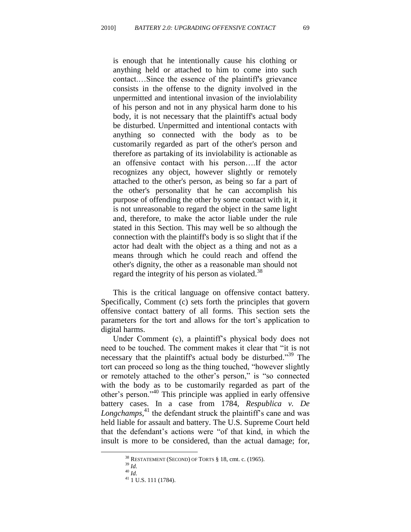is enough that he intentionally cause his clothing or anything held or attached to him to come into such contact.…Since the essence of the plaintiff's grievance consists in the offense to the dignity involved in the unpermitted and intentional invasion of the inviolability of his person and not in any physical harm done to his body, it is not necessary that the plaintiff's actual body be disturbed. Unpermitted and intentional contacts with anything so connected with the body as to be customarily regarded as part of the other's person and therefore as partaking of its inviolability is actionable as an offensive contact with his person….If the actor recognizes any object, however slightly or remotely attached to the other's person, as being so far a part of the other's personality that he can accomplish his purpose of offending the other by some contact with it, it is not unreasonable to regard the object in the same light and, therefore, to make the actor liable under the rule stated in this Section. This may well be so although the connection with the plaintiff's body is so slight that if the actor had dealt with the object as a thing and not as a means through which he could reach and offend the other's dignity, the other as a reasonable man should not regard the integrity of his person as violated.<sup>38</sup>

This is the critical language on offensive contact battery. Specifically, Comment (c) sets forth the principles that govern offensive contact battery of all forms. This section sets the parameters for the tort and allows for the tort's application to digital harms.

Under Comment (c), a plaintiff's physical body does not need to be touched. The comment makes it clear that "it is not necessary that the plaintiff's actual body be disturbed.<sup>39</sup> The tort can proceed so long as the thing touched, "however slightly" or remotely attached to the other's person," is "so connected with the body as to be customarily regarded as part of the other's person."<sup>40</sup> This principle was applied in early offensive battery cases. In a case from 1784, *Respublica v. De*  Longchamps,<sup>41</sup> the defendant struck the plaintiff's cane and was held liable for assault and battery. The U.S. Supreme Court held that the defendant's actions were "of that kind, in which the insult is more to be considered, than the actual damage; for,

<sup>38</sup> RESTATEMENT (SECOND) OF TORTS § 18, cmt. c. (1965).

<sup>39</sup> *Id.* <sup>40</sup> *Id.*

<sup>&</sup>lt;sup>41</sup> 1 U.S. 111 (1784).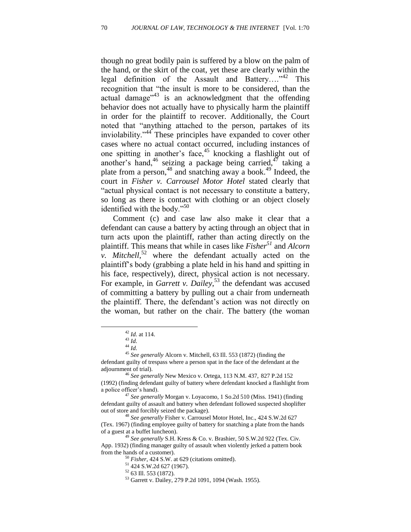though no great bodily pain is suffered by a blow on the palm of the hand, or the skirt of the coat, yet these are clearly within the legal definition of the Assault and Battery.... $n^{42}$  This recognition that "the insult is more to be considered, than the actual damage<sup> $3$ </sup> is an acknowledgment that the offending behavior does not actually have to physically harm the plaintiff in order for the plaintiff to recover. Additionally, the Court noted that "anything attached to the person, partakes of its inviolability."<sup>44</sup> These principles have expanded to cover other cases where no actual contact occurred, including instances of one spitting in another's face,<sup>45</sup> knocking a flashlight out of another's hand,<sup>46</sup> seizing a package being carried,<sup>47</sup> taking a plate from a person,<sup>48</sup> and snatching away a book.<sup>49</sup> Indeed, the court in *Fisher v. Carrousel Motor Hotel* stated clearly that "actual physical contact is not necessary to constitute a battery, so long as there is contact with clothing or an object closely identified with the body." $50$ 

Comment (c) and case law also make it clear that a defendant can cause a battery by acting through an object that in turn acts upon the plaintiff, rather than acting directly on the plaintiff. This means that while in cases like *Fisher<sup>51</sup>* and *Alcorn v. Mitchell*, <sup>52</sup> where the defendant actually acted on the plaintiff's body (grabbing a plate held in his hand and spitting in his face, respectively), direct, physical action is not necessary. For example, in *Garrett v. Dailey*<sup>53</sup> the defendant was accused of committing a battery by pulling out a chair from underneath the plaintiff. There, the defendant's action was not directly on the woman, but rather on the chair. The battery (the woman

<sup>42</sup> *Id.* at 114.

<sup>43</sup> *Id.*

<sup>44</sup> *Id.*

<sup>45</sup> *See generally* Alcorn v. Mitchell, 63 Ill. 553 (1872) (finding the

defendant guilty of trespass where a person spat in the face of the defendant at the adjournment of trial).

<sup>46</sup> *See generally* New Mexico v. Ortega, 113 N.M. 437, 827 P.2d 152 (1992) (finding defendant guilty of battery where defendant knocked a flashlight from a police officer's hand).

<sup>47</sup> *See generally* Morgan v. Loyacomo, 1 So.2d 510 (Miss. 1941) (finding defendant guilty of assault and battery when defendant followed suspected shoplifter out of store and forcibly seized the package).

<sup>48</sup> *See generally* Fisher v. Carrousel Motor Hotel, Inc., 424 S.W.2d 627 (Tex. 1967) (finding employee guilty of battery for snatching a plate from the hands of a guest at a buffet luncheon).

<sup>49</sup> *See generally* S.H. Kress & Co. v. Brashier, 50 S.W.2d 922 (Tex. Civ. App. 1932) (finding manager guilty of assault when violently jerked a pattern book from the hands of a customer).

<sup>50</sup> *Fisher*, 424 S.W. at 629 (citations omitted).

<sup>51</sup> 424 S.W.2d 627 (1967).

<sup>52</sup> 63 Ill. 553 (1872).

<sup>53</sup> Garrett v. Dailey, 279 P.2d 1091, 1094 (Wash. 1955).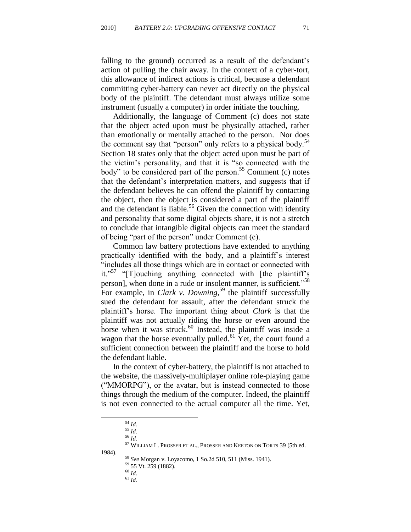falling to the ground) occurred as a result of the defendant's action of pulling the chair away. In the context of a cyber-tort, this allowance of indirect actions is critical, because a defendant committing cyber-battery can never act directly on the physical body of the plaintiff. The defendant must always utilize some instrument (usually a computer) in order initiate the touching.

Additionally, the language of Comment (c) does not state that the object acted upon must be physically attached, rather than emotionally or mentally attached to the person. Nor does the comment say that "person" only refers to a physical body.<sup>54</sup> Section 18 states only that the object acted upon must be part of the victim's personality, and that it is "so connected with the body" to be considered part of the person.<sup>55</sup> Comment (c) notes that the defendant's interpretation matters, and suggests that if the defendant believes he can offend the plaintiff by contacting the object, then the object is considered a part of the plaintiff and the defendant is liable.<sup>56</sup> Given the connection with identity and personality that some digital objects share, it is not a stretch to conclude that intangible digital objects can meet the standard of being "part of the person" under Comment (c).

Common law battery protections have extended to anything practically identified with the body, and a plaintiff's interest ―includes all those things which are in contact or connected with it."<sup>57</sup> " $[T]$ ouching anything connected with [the plaintiff's person], when done in a rude or insolent manner, is sufficient.<sup>58</sup> For example, in *Clark v. Downing*, <sup>59</sup> the plaintiff successfully sued the defendant for assault, after the defendant struck the plaintiff's horse. The important thing about *Clark* is that the plaintiff was not actually riding the horse or even around the horse when it was struck.<sup>60</sup> Instead, the plaintiff was inside a wagon that the horse eventually pulled.<sup>61</sup> Yet, the court found a sufficient connection between the plaintiff and the horse to hold the defendant liable.

In the context of cyber-battery, the plaintiff is not attached to the website, the massively-multiplayer online role-playing game ("MMORPG"), or the avatar, but is instead connected to those things through the medium of the computer. Indeed, the plaintiff is not even connected to the actual computer all the time. Yet,

<sup>54</sup> *Id.*

<sup>55</sup> *Id.*

<sup>56</sup> *Id.*

 $^{57}$  WILLIAM L. PROSSER ET AL., PROSSER AND KEETON ON TORTS 39 (5th ed.

<sup>1984).</sup>

<sup>58</sup> *See* Morgan v. Loyacomo, 1 So.2d 510, 511 (Miss. 1941).

<sup>59</sup> 55 Vt. 259 (1882).

<sup>60</sup> *Id.*

<sup>61</sup> *Id.*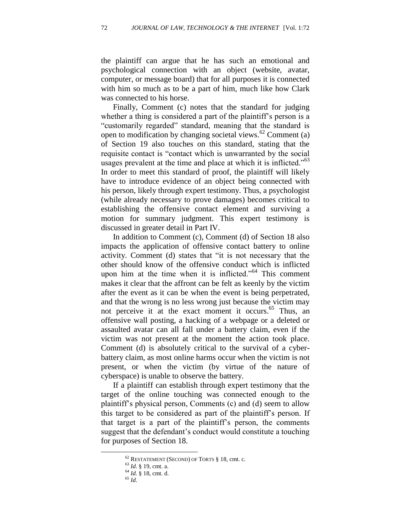the plaintiff can argue that he has such an emotional and psychological connection with an object (website, avatar, computer, or message board) that for all purposes it is connected with him so much as to be a part of him, much like how Clark was connected to his horse.

Finally, Comment (c) notes that the standard for judging whether a thing is considered a part of the plaintiff's person is a "customarily regarded" standard, meaning that the standard is open to modification by changing societal views.<sup>62</sup> Comment (a) of Section 19 also touches on this standard, stating that the requisite contact is "contact which is unwarranted by the social usages prevalent at the time and place at which it is inflicted.<sup> $55$ </sup> In order to meet this standard of proof, the plaintiff will likely have to introduce evidence of an object being connected with his person, likely through expert testimony. Thus, a psychologist (while already necessary to prove damages) becomes critical to establishing the offensive contact element and surviving a motion for summary judgment. This expert testimony is discussed in greater detail in Part IV.

In addition to Comment (c), Comment (d) of Section 18 also impacts the application of offensive contact battery to online activity. Comment (d) states that "it is not necessary that the other should know of the offensive conduct which is inflicted upon him at the time when it is inflicted.<sup> $564$ </sup> This comment makes it clear that the affront can be felt as keenly by the victim after the event as it can be when the event is being perpetrated, and that the wrong is no less wrong just because the victim may not perceive it at the exact moment it occurs. <sup>65</sup> Thus, an offensive wall posting, a hacking of a webpage or a deleted or assaulted avatar can all fall under a battery claim, even if the victim was not present at the moment the action took place. Comment (d) is absolutely critical to the survival of a cyberbattery claim, as most online harms occur when the victim is not present, or when the victim (by virtue of the nature of cyberspace) is unable to observe the battery.

If a plaintiff can establish through expert testimony that the target of the online touching was connected enough to the plaintiff's physical person, Comments (c) and (d) seem to allow this target to be considered as part of the plaintiff's person. If that target is a part of the plaintiff's person, the comments suggest that the defendant's conduct would constitute a touching for purposes of Section 18.

<sup>62</sup> RESTATEMENT (SECOND) OF TORTS § 18, cmt. c*.*

<sup>63</sup> *Id.* § 19, cmt. a.

<sup>64</sup> *Id.* § 18, cmt. d.

<sup>65</sup> *Id.*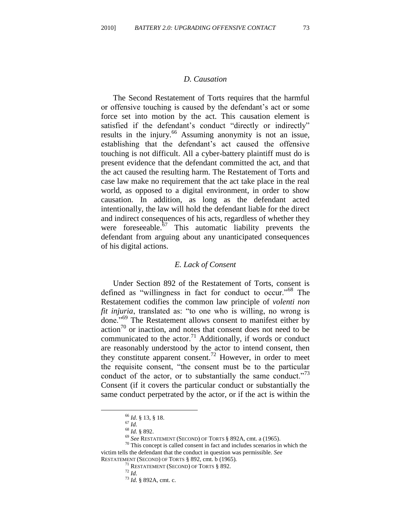#### *D. Causation*

The Second Restatement of Torts requires that the harmful or offensive touching is caused by the defendant's act or some force set into motion by the act. This causation element is satisfied if the defendant's conduct "directly or indirectly" results in the injury.<sup>66</sup> Assuming anonymity is not an issue, establishing that the defendant's act caused the offensive touching is not difficult. All a cyber-battery plaintiff must do is present evidence that the defendant committed the act, and that the act caused the resulting harm. The Restatement of Torts and case law make no requirement that the act take place in the real world, as opposed to a digital environment, in order to show causation. In addition, as long as the defendant acted intentionally, the law will hold the defendant liable for the direct and indirect consequences of his acts, regardless of whether they were foreseeable. $67$  This automatic liability prevents the defendant from arguing about any unanticipated consequences of his digital actions.

#### *E. Lack of Consent*

Under Section 892 of the Restatement of Torts, consent is defined as "willingness in fact for conduct to occur."<sup>68</sup> The Restatement codifies the common law principle of *volenti non fit injuria*, translated as: "to one who is willing, no wrong is done."<sup>69</sup> The Restatement allows consent to manifest either by  $\arctan^{70}$  or inaction, and notes that consent does not need to be communicated to the actor.<sup>71</sup> Additionally, if words or conduct are reasonably understood by the actor to intend consent, then they constitute apparent consent.<sup>72</sup> However, in order to meet the requisite consent, "the consent must be to the particular conduct of the actor, or to substantially the same conduct."<sup>73</sup> Consent (if it covers the particular conduct or substantially the same conduct perpetrated by the actor, or if the act is within the

<sup>66</sup> *Id*. § 13, § 18.

<sup>67</sup> *Id.*

<sup>68</sup> *Id.* § 892.

<sup>69</sup> *See* RESTATEMENT (SECOND) OF TORTS § 892A, cmt. a (1965).

 $70$  This concept is called consent in fact and includes scenarios in which the victim tells the defendant that the conduct in question was permissible. *See* RESTATEMENT (SECOND) OF TORTS § 892, cmt. b (1965)*.*

<sup>71</sup> RESTATEMENT (SECOND) OF TORTS § 892.

<sup>72</sup> *Id.* 

<sup>73</sup> *Id.* § 892A, cmt. c.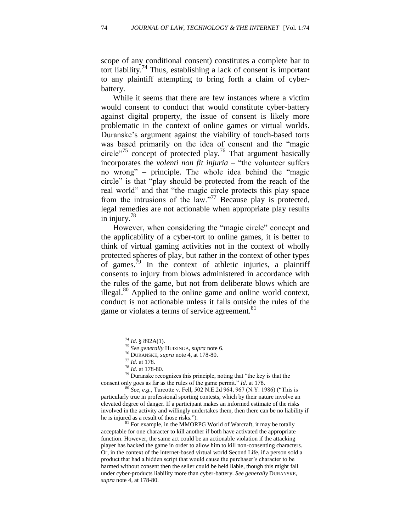scope of any conditional consent) constitutes a complete bar to tort liability.<sup>74</sup> Thus, establishing a lack of consent is important to any plaintiff attempting to bring forth a claim of cyberbattery.

While it seems that there are few instances where a victim would consent to conduct that would constitute cyber-battery against digital property, the issue of consent is likely more problematic in the context of online games or virtual worlds. Duranske's argument against the viability of touch-based torts was based primarily on the idea of consent and the "magic circle<sup> $275$ </sup> concept of protected play.<sup>76</sup> That argument basically incorporates the *volenti non fit injuria* – "the volunteer suffers" no wrong" – principle. The whole idea behind the "magic circle" is that "play should be protected from the reach of the real world" and that "the magic circle protects this play space from the intrusions of the law.<sup>77</sup> Because play is protected, legal remedies are not actionable when appropriate play results in injury.<sup>78</sup>

However, when considering the "magic circle" concept and the applicability of a cyber-tort to online games, it is better to think of virtual gaming activities not in the context of wholly protected spheres of play, but rather in the context of other types of games.<sup>79</sup> In the context of athletic injuries, a plaintiff consents to injury from blows administered in accordance with the rules of the game, but not from deliberate blows which are illegal.<sup>80</sup> Applied to the online game and online world context, conduct is not actionable unless it falls outside the rules of the game or violates a terms of service agreement.<sup>81</sup>

 $\overline{a}$ 

 $79$  Duranske recognizes this principle, noting that "the key is that the consent only goes as far as the rules of the game permit." *Id.* at 178.

<sup>80</sup> *See, e.g.*, Turcotte v. Fell, 502 N.E.2d 964, 967 (N.Y. 1986) ("This is particularly true in professional sporting contests, which by their nature involve an elevated degree of danger. If a participant makes an informed estimate of the risks involved in the activity and willingly undertakes them, then there can be no liability if he is injured as a result of those risks.").

 $81$  For example, in the MMORPG World of Warcraft, it may be totally acceptable for one character to kill another if both have activated the appropriate function. However, the same act could be an actionable violation if the attacking player has hacked the game in order to allow him to kill non-consenting characters. Or, in the context of the internet-based virtual world Second Life, if a person sold a product that had a hidden script that would cause the purchaser's character to be harmed without consent then the seller could be held liable, though this might fall under cyber-products liability more than cyber-battery. *See generally* DURANSKE, *supra* note 4*,* at 178-80.

 $^{74}$  *Id.* § 892A(1).

<sup>75</sup> *See generally* HUIZINGA, *supra* note 6.

<sup>76</sup> DURANSKE, *supra* note 4*,* at 178-80.

<sup>77</sup> *Id*. at 178.

<sup>78</sup> *Id.* at 178-80.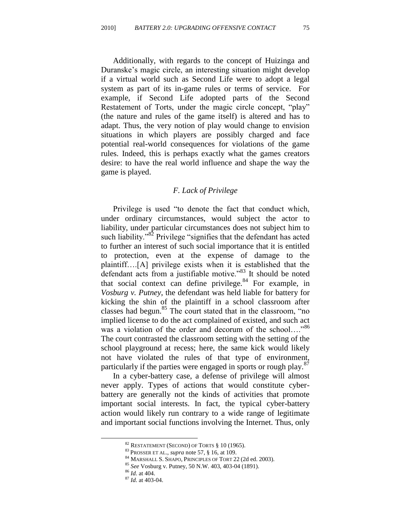Additionally, with regards to the concept of Huizinga and Duranske's magic circle, an interesting situation might develop if a virtual world such as Second Life were to adopt a legal system as part of its in-game rules or terms of service. For example, if Second Life adopted parts of the Second Restatement of Torts, under the magic circle concept, "play" (the nature and rules of the game itself) is altered and has to adapt. Thus, the very notion of play would change to envision situations in which players are possibly charged and face potential real-world consequences for violations of the game rules. Indeed, this is perhaps exactly what the games creators desire: to have the real world influence and shape the way the game is played.

## *F. Lack of Privilege*

Privilege is used "to denote the fact that conduct which, under ordinary circumstances, would subject the actor to liability, under particular circumstances does not subject him to such liability.<sup>382</sup> Privilege "signifies that the defendant has acted to further an interest of such social importance that it is entitled to protection, even at the expense of damage to the plaintiff….[A] privilege exists when it is established that the defendant acts from a justifiable motive."<sup>83</sup> It should be noted that social context can define privilege. $84$  For example, in *Vosburg v. Putney*, the defendant was held liable for battery for kicking the shin of the plaintiff in a school classroom after classes had begun. $85$  The court stated that in the classroom, "no implied license to do the act complained of existed, and such act was a violation of the order and decorum of the school...."<sup>86</sup> The court contrasted the classroom setting with the setting of the school playground at recess; here, the same kick would likely not have violated the rules of that type of environment, particularly if the parties were engaged in sports or rough play.<sup>87</sup>

In a cyber-battery case, a defense of privilege will almost never apply. Types of actions that would constitute cyberbattery are generally not the kinds of activities that promote important social interests. In fact, the typical cyber-battery action would likely run contrary to a wide range of legitimate and important social functions involving the Internet. Thus, only

 $82$  RESTATEMENT (SECOND) OF TORTS  $810(1965)$ .

<sup>83</sup> PROSSER ET AL., *supra* note 57, § 16, at 109.

<sup>84</sup> MARSHALL S. SHAPO, PRINCIPLES OF TORT 22 (2d ed. 2003).

<sup>85</sup> *See* Vosburg v. Putney, 50 N.W. 403, 403-04 (1891).

<sup>86</sup> *Id.* at 404.

<sup>87</sup> *Id.* at 403-04.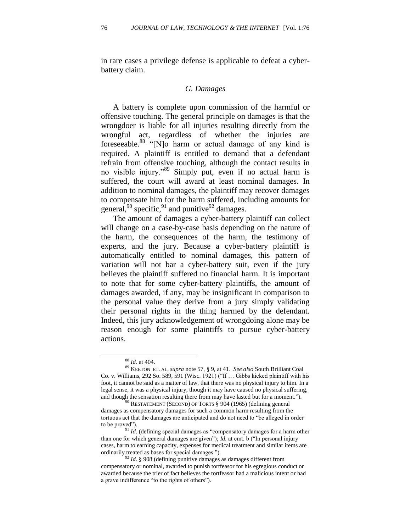in rare cases a privilege defense is applicable to defeat a cyberbattery claim.

## *G. Damages*

A battery is complete upon commission of the harmful or offensive touching. The general principle on damages is that the wrongdoer is liable for all injuries resulting directly from the wrongful act, regardless of whether the injuries are foreseeable.<sup>88</sup> "[N]o harm or actual damage of any kind is required. A plaintiff is entitled to demand that a defendant refrain from offensive touching, although the contact results in no visible injury."<sup>89</sup> Simply put, even if no actual harm is suffered, the court will award at least nominal damages. In addition to nominal damages, the plaintiff may recover damages to compensate him for the harm suffered, including amounts for general,  $90$  specific,  $91$  and punitive  $92$  damages.

The amount of damages a cyber-battery plaintiff can collect will change on a case-by-case basis depending on the nature of the harm, the consequences of the harm, the testimony of experts, and the jury. Because a cyber-battery plaintiff is automatically entitled to nominal damages, this pattern of variation will not bar a cyber-battery suit, even if the jury believes the plaintiff suffered no financial harm. It is important to note that for some cyber-battery plaintiffs, the amount of damages awarded, if any, may be insignificant in comparison to the personal value they derive from a jury simply validating their personal rights in the thing harmed by the defendant. Indeed, this jury acknowledgement of wrongdoing alone may be reason enough for some plaintiffs to pursue cyber-battery actions.

<sup>88</sup> *Id.* at 404.

<sup>89</sup> KEETON ET. AL, *supra* note 57, § 9, at 41. *See also* South Brilliant Coal Co. v. Williams, 292 So. 589, 591 (Wisc. 1921) ("If  $\ldots$  Gibbs kicked plaintiff with his foot, it cannot be said as a matter of law, that there was no physical injury to him. In a legal sense, it was a physical injury, though it may have caused no physical suffering, and though the sensation resulting there from may have lasted but for a moment.").

<sup>&</sup>lt;sup>90</sup> RESTATEMENT (SECOND) OF TORTS § 904 (1965) (defining general damages as compensatory damages for such a common harm resulting from the tortuous act that the damages are anticipated and do not need to "be alleged in order to be proved").

 $91$  *Id.* (defining special damages as "compensatory damages for a harm other than one for which general damages are given");  $Id$  at cmt. b ("In personal injury cases, harm to earning capacity, expenses for medical treatment and similar items are ordinarily treated as bases for special damages.").

<sup>92</sup> *Id.* § 908 (defining punitive damages as damages different from compensatory or nominal, awarded to punish tortfeasor for his egregious conduct or awarded because the trier of fact believes the tortfeasor had a malicious intent or had a grave indifference "to the rights of others").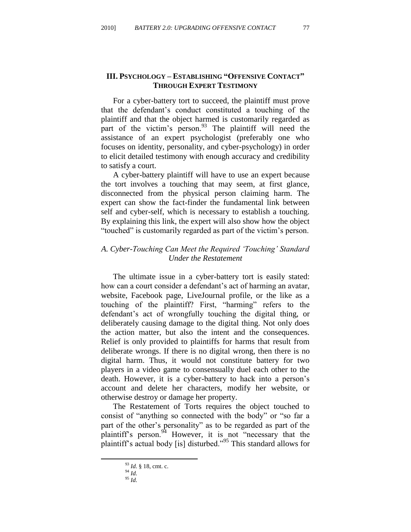# **III. PSYCHOLOGY – ESTABLISHING "OFFENSIVE CONTACT" THROUGH EXPERT TESTIMONY**

For a cyber-battery tort to succeed, the plaintiff must prove that the defendant's conduct constituted a touching of the plaintiff and that the object harmed is customarily regarded as part of the victim's person.<sup>93</sup> The plaintiff will need the assistance of an expert psychologist (preferably one who focuses on identity, personality, and cyber-psychology) in order to elicit detailed testimony with enough accuracy and credibility to satisfy a court.

A cyber-battery plaintiff will have to use an expert because the tort involves a touching that may seem, at first glance, disconnected from the physical person claiming harm. The expert can show the fact-finder the fundamental link between self and cyber-self, which is necessary to establish a touching. By explaining this link, the expert will also show how the object ―touched‖ is customarily regarded as part of the victim's person.

# *A. Cyber-Touching Can Meet the Required 'Touching' Standard Under the Restatement*

The ultimate issue in a cyber-battery tort is easily stated: how can a court consider a defendant's act of harming an avatar, website, Facebook page, LiveJournal profile, or the like as a touching of the plaintiff? First, "harming" refers to the defendant's act of wrongfully touching the digital thing, or deliberately causing damage to the digital thing. Not only does the action matter, but also the intent and the consequences. Relief is only provided to plaintiffs for harms that result from deliberate wrongs. If there is no digital wrong, then there is no digital harm. Thus, it would not constitute battery for two players in a video game to consensually duel each other to the death. However, it is a cyber-battery to hack into a person's account and delete her characters, modify her website, or otherwise destroy or damage her property.

The Restatement of Torts requires the object touched to consist of "anything so connected with the body" or "so far a part of the other's personality" as to be regarded as part of the plaintiff's person.  $94$  However, it is not "necessary that the plaintiff's actual body [is] disturbed.<sup>95</sup> This standard allows for

<sup>93</sup> *Id.* § 18, cmt. c.

<sup>94</sup> *Id.*

<sup>95</sup> *Id.*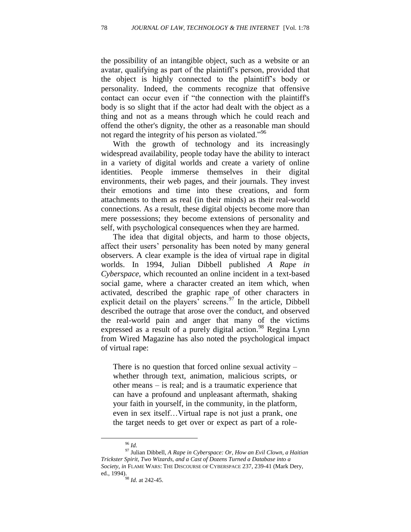the possibility of an intangible object, such as a website or an avatar, qualifying as part of the plaintiff's person, provided that the object is highly connected to the plaintiff's body or personality. Indeed, the comments recognize that offensive contact can occur even if "the connection with the plaintiff's body is so slight that if the actor had dealt with the object as a thing and not as a means through which he could reach and offend the other's dignity, the other as a reasonable man should not regard the integrity of his person as violated.<sup>996</sup>

With the growth of technology and its increasingly widespread availability, people today have the ability to interact in a variety of digital worlds and create a variety of online identities. People immerse themselves in their digital environments, their web pages, and their journals. They invest their emotions and time into these creations, and form attachments to them as real (in their minds) as their real-world connections. As a result, these digital objects become more than mere possessions; they become extensions of personality and self, with psychological consequences when they are harmed.

The idea that digital objects, and harm to those objects, affect their users' personality has been noted by many general observers. A clear example is the idea of virtual rape in digital worlds. In 1994, Julian Dibbell published *A Rape in Cyberspace*, which recounted an online incident in a text-based social game, where a character created an item which, when activated, described the graphic rape of other characters in explicit detail on the players' screens.<sup>97</sup> In the article, Dibbell described the outrage that arose over the conduct, and observed the real-world pain and anger that many of the victims expressed as a result of a purely digital action.<sup>98</sup> Regina Lynn from Wired Magazine has also noted the psychological impact of virtual rape:

There is no question that forced online sexual activity – whether through text, animation, malicious scripts, or other means – is real; and is a traumatic experience that can have a profound and unpleasant aftermath, shaking your faith in yourself, in the community, in the platform, even in sex itself…Virtual rape is not just a prank, one the target needs to get over or expect as part of a role-

<sup>96</sup> *Id.*

<sup>97</sup> Julian Dibbell, *A Rape in Cyberspace: Or, How an Evil Clown, a Haitian Trickster Spirit, Two Wizards, and a Cast of Dozens Turned a Database into a Society*, *in* FLAME WARS: THE DISCOURSE OF CYBERSPACE 237, 239-41 (Mark Dery, ed., 1994).

<sup>98</sup> *Id.* at 242-45.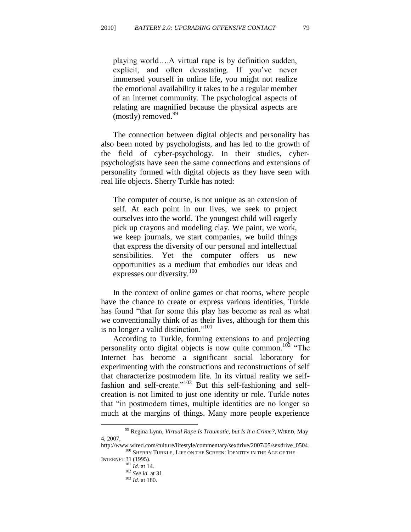playing world….A virtual rape is by definition sudden, explicit, and often devastating. If you've never immersed yourself in online life, you might not realize the emotional availability it takes to be a regular member of an internet community. The psychological aspects of relating are magnified because the physical aspects are  $(mostly)$  removed.<sup>99</sup>

The connection between digital objects and personality has also been noted by psychologists, and has led to the growth of the field of cyber-psychology. In their studies, cyberpsychologists have seen the same connections and extensions of personality formed with digital objects as they have seen with real life objects. Sherry Turkle has noted:

The computer of course, is not unique as an extension of self. At each point in our lives, we seek to project ourselves into the world. The youngest child will eagerly pick up crayons and modeling clay. We paint, we work, we keep journals, we start companies, we build things that express the diversity of our personal and intellectual sensibilities. Yet the computer offers us new opportunities as a medium that embodies our ideas and expresses our diversity.<sup>100</sup>

In the context of online games or chat rooms, where people have the chance to create or express various identities, Turkle has found "that for some this play has become as real as what we conventionally think of as their lives, although for them this is no longer a valid distinction."<sup>101</sup>

According to Turkle, forming extensions to and projecting personality onto digital objects is now quite common.<sup>102</sup> "The Internet has become a significant social laboratory for experimenting with the constructions and reconstructions of self that characterize postmodern life. In its virtual reality we selffashion and self-create." $103$  But this self-fashioning and selfcreation is not limited to just one identity or role. Turkle notes that "in postmodern times, multiple identities are no longer so much at the margins of things. Many more people experience

<sup>99</sup> Regina Lynn, *Virtual Rape Is Traumatic, but Is It a Crime?,* WIRED, May 4, 2007,

http://www.wired.com/culture/lifestyle/commentary/sexdrive/2007/05/sexdrive\_0504.  $^{100}$  SHERRY TURKLE, LIFE ON THE SCREEN: IDENTITY IN THE AGE OF THE

INTERNET 31 (1995).

 $^{101}$  *Id.* at 14. <sup>102</sup> *See id.* at 31.

<sup>103</sup> *Id.* at 180.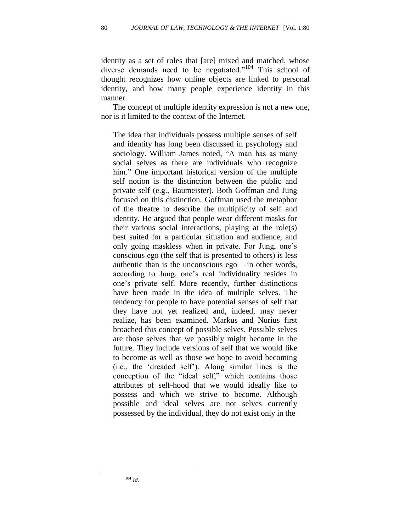identity as a set of roles that [are] mixed and matched, whose diverse demands need to be negotiated." $104$  This school of thought recognizes how online objects are linked to personal identity, and how many people experience identity in this manner.

The concept of multiple identity expression is not a new one, nor is it limited to the context of the Internet.

The idea that individuals possess multiple senses of self and identity has long been discussed in psychology and sociology. William James noted, "A man has as many social selves as there are individuals who recognize him." One important historical version of the multiple self notion is the distinction between the public and private self (e.g., Baumeister). Both Goffman and Jung focused on this distinction. Goffman used the metaphor of the theatre to describe the multiplicity of self and identity. He argued that people wear different masks for their various social interactions, playing at the role(s) best suited for a particular situation and audience, and only going maskless when in private. For Jung, one's conscious ego (the self that is presented to others) is less authentic than is the unconscious  $ego - in other words$ , according to Jung, one's real individuality resides in one's private self. More recently, further distinctions have been made in the idea of multiple selves. The tendency for people to have potential senses of self that they have not yet realized and, indeed, may never realize, has been examined. Markus and Nurius first broached this concept of possible selves. Possible selves are those selves that we possibly might become in the future. They include versions of self that we would like to become as well as those we hope to avoid becoming (i.e., the ‗dreaded self'). Along similar lines is the conception of the "ideal self," which contains those attributes of self-hood that we would ideally like to possess and which we strive to become. Although possible and ideal selves are not selves currently possessed by the individual, they do not exist only in the

<sup>104</sup> *Id.*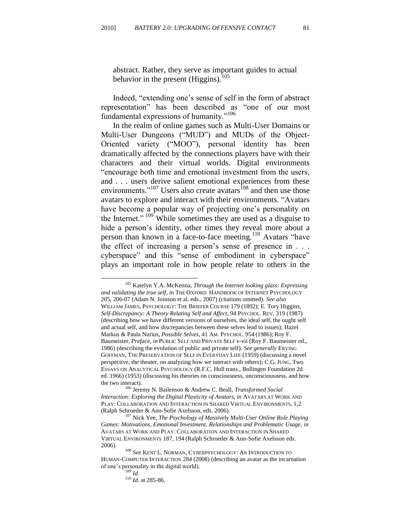abstract. Rather, they serve as important guides to actual behavior in the present (Higgins).<sup>105</sup>

Indeed, "extending one's sense of self in the form of abstract representation" has been described as "one of our most fundamental expressions of humanity. $106$ 

In the realm of online games such as Multi-User Domains or Multi-User Dungeons ("MUD") and MUDs of the Object-Oriented variety ("MOO"), personal identity has been dramatically affected by the connections players have with their characters and their virtual worlds. Digital environments "encourage both time and emotional investment from the users, and . . . users derive salient emotional experiences from these environments."<sup>107</sup> Users also create avatars<sup>108</sup> and then use those avatars to explore and interact with their environments. "Avatars have become a popular way of projecting one's personality on the Internet." <sup>109</sup> While sometimes they are used as a disguise to hide a person's identity, other times they reveal more about a person than known in a face-to-face meeting.<sup>110</sup> Avatars "have the effect of increasing a person's sense of presence in . . . cyberspace" and this "sense of embodiment in cyberspace" plays an important role in how people relate to others in the

<sup>105</sup> Katelyn Y.A. McKenna, *Through the Internet looking glass: Expressing and validating the true self*, *in* THE OXFORD HANDBOOK OF INTERNET PSYCHOLOGY 205, 206-07 (Adam N. Joinson et al. eds., 2007) (citations omitted). *See also* WILLIAM JAMES, PSYCHOLOGY: THE BRIEFER COURSE 179 (1892); E. Tory Higgins, *Self-Discrepancy: A Theory Relating Self and Affect*, 94 PSYCHOL. REV. 319 (1987) (describing how we have different versions of ourselves, the ideal self, the ought self and actual self, and how discrepancies between these selves lead to issues); Hazel Markus & Paula Nurius, *Possible Selves*, 41 AM. PSYCHOL. 954 (1986); Roy F. Baumeister, *Preface, in* PUBLIC SELF AND PRIVATE SELF v-vii (Roy F. Baumeister ed., 1986) (describing the evolution of public and private self). *See generally* ERVING GOFFMAN, THE PRESERVATION OF SELF IN EVERYDAY LIFE (1959) (discussing a novel perspective, the theater, on analyzing how we interact with others); C.G. JUNG, Two ESSAYS ON ANALYTICAL PSYCHOLOGY (R.F.C. Hull trans., Bollingen Foundation 2d ed. 1966) (1953) (discussing his theories on consciousness, unconsciousness, and how the two interact).

<sup>106</sup> Jeremy N. Bailenson & Andrew C. Beall, *Transformed Social Interaction: Exploring the Digital Plasticity of Avatars, in* AVATARS AT WORK AND PLAY: COLLABORATION AND INTERACTION IN SHARED VIRTUAL ENVIRONMENTS, 1,2 (Ralph Schroeder & Ann-Sofie Axelsson, eds. 2006).

<sup>107</sup> Nick Yee, *The Psychology of Massively Multi-User Online Role Playing Games: Motivations, Emotional Investment, Relationships and Problematic Usage*, *in*  AVATARS AT WORK AND PLAY: COLLABORATION AND INTERACTION IN SHARED VIRTUAL ENVIRONMENTS 187, 194 (Ralph Schroeder & Ann-Sofie Axelsson eds. 2006).

<sup>108</sup> *See* KENT L. NORMAN, CYBERPSYCHOLOGY: AN INTRODUCTION TO HUMAN-COMPUTER INTERACTION 284 (2008) (describing an avatar as the incarnation of one's personality in the digital world).

<sup>109</sup> *Id.*

<sup>110</sup> *Id.* at 285-86.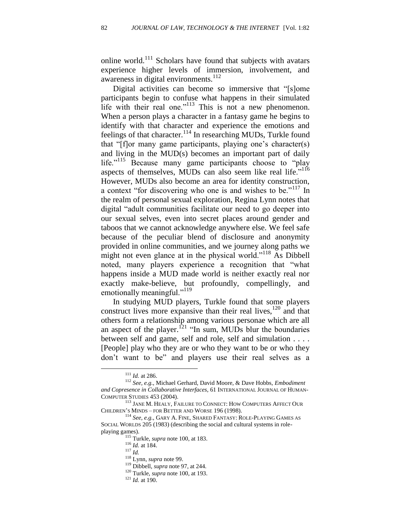online world.<sup>111</sup> Scholars have found that subjects with avatars experience higher levels of immersion, involvement, and awareness in digital environments. $^{112}$ 

Digital activities can become so immersive that "[s]ome participants begin to confuse what happens in their simulated life with their real one." $113$  This is not a new phenomenon. When a person plays a character in a fantasy game he begins to identify with that character and experience the emotions and feelings of that character.<sup>114</sup> In researching MUDs, Turkle found that " $[f]$ or many game participants, playing one's character(s) and living in the MUD(s) becomes an important part of daily life."<sup>115</sup> Because many game participants choose to "play aspects of themselves, MUDs can also seem like real life."<sup>116</sup> However, MUDs also become an area for identity construction, a context "for discovering who one is and wishes to be."<sup>117</sup> In the realm of personal sexual exploration, Regina Lynn notes that digital "adult communities facilitate our need to go deeper into our sexual selves, even into secret places around gender and taboos that we cannot acknowledge anywhere else. We feel safe because of the peculiar blend of disclosure and anonymity provided in online communities, and we journey along paths we might not even glance at in the physical world." $^{118}$  As Dibbell noted, many players experience a recognition that "what happens inside a MUD made world is neither exactly real nor exactly make-believe, but profoundly, compellingly, and emotionally meaningful."<sup>119</sup>

In studying MUD players, Turkle found that some players construct lives more expansive than their real lives,<sup>120</sup> and that others form a relationship among various personae which are all an aspect of the player.<sup>121</sup> "In sum, MUDs blur the boundaries" between self and game, self and role, self and simulation . . . . [People] play who they are or who they want to be or who they don't want to be" and players use their real selves as a

<sup>111</sup> *Id.* at 286.

<sup>112</sup> *See, e.g.*, Michael Gerhard, David Moore, & Dave Hobbs, *Embodiment and Copresence in Collaborative Interfaces*, 61 INTERNATIONAL JOURNAL OF HUMAN-COMPUTER STUDIES 453 (2004).

<sup>113</sup> JANE M. HEALY, FAILURE TO CONNECT: HOW COMPUTERS AFFECT OUR CHILDREN'S MINDS – FOR BETTER AND WORSE 196 (1998).

<sup>114</sup> *See, e.g.*, GARY A. FINE, SHARED FANTASY: ROLE-PLAYING GAMES AS SOCIAL WORLDS 205 (1983) (describing the social and cultural systems in roleplaying games).

<sup>115</sup> Turkle, *supra* note 100, at 183.

<sup>116</sup> *Id.* at 184.

<sup>117</sup> *Id.*

<sup>118</sup> Lynn, *supra* note 99.

<sup>119</sup> Dibbell, *supra* note 97, at 244.

<sup>120</sup> Turkle, *supra* note 100, at 193.

<sup>121</sup> *Id.* at 190.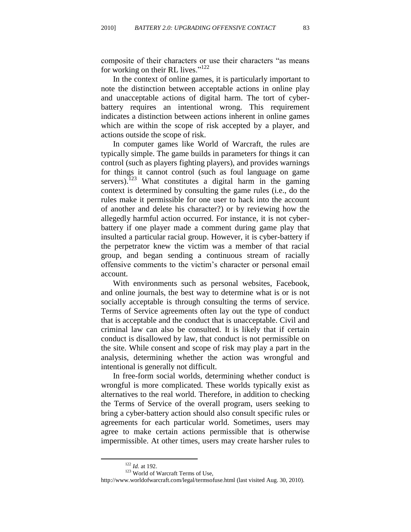composite of their characters or use their characters "as means for working on their RL lives." $122$ 

In the context of online games, it is particularly important to note the distinction between acceptable actions in online play and unacceptable actions of digital harm. The tort of cyberbattery requires an intentional wrong. This requirement indicates a distinction between actions inherent in online games which are within the scope of risk accepted by a player, and actions outside the scope of risk.

In computer games like World of Warcraft, the rules are typically simple. The game builds in parameters for things it can control (such as players fighting players), and provides warnings for things it cannot control (such as foul language on game servers).<sup>123</sup> What constitutes a digital harm in the gaming context is determined by consulting the game rules (i.e., do the rules make it permissible for one user to hack into the account of another and delete his character?) or by reviewing how the allegedly harmful action occurred. For instance, it is not cyberbattery if one player made a comment during game play that insulted a particular racial group. However, it is cyber-battery if the perpetrator knew the victim was a member of that racial group, and began sending a continuous stream of racially offensive comments to the victim's character or personal email account.

With environments such as personal websites, Facebook, and online journals, the best way to determine what is or is not socially acceptable is through consulting the terms of service. Terms of Service agreements often lay out the type of conduct that is acceptable and the conduct that is unacceptable. Civil and criminal law can also be consulted. It is likely that if certain conduct is disallowed by law, that conduct is not permissible on the site. While consent and scope of risk may play a part in the analysis, determining whether the action was wrongful and intentional is generally not difficult.

In free-form social worlds, determining whether conduct is wrongful is more complicated. These worlds typically exist as alternatives to the real world. Therefore, in addition to checking the Terms of Service of the overall program, users seeking to bring a cyber-battery action should also consult specific rules or agreements for each particular world. Sometimes, users may agree to make certain actions permissible that is otherwise impermissible. At other times, users may create harsher rules to

<sup>122</sup> *Id.* at 192.

<sup>123</sup> World of Warcraft Terms of Use,

http://www.worldofwarcraft.com/legal/termsofuse.html (last visited Aug. 30, 2010).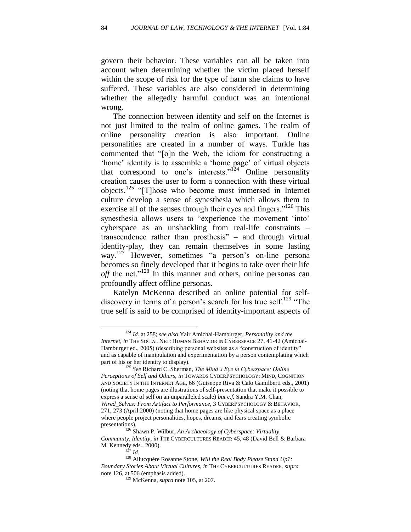govern their behavior. These variables can all be taken into account when determining whether the victim placed herself within the scope of risk for the type of harm she claims to have suffered. These variables are also considered in determining whether the allegedly harmful conduct was an intentional wrong.

The connection between identity and self on the Internet is not just limited to the realm of online games. The realm of online personality creation is also important. Online personalities are created in a number of ways. Turkle has commented that "[o]n the Web, the idiom for constructing a 'home' identity is to assemble a 'home page' of virtual objects that correspond to one's interests." $124$  Online personality creation causes the user to form a connection with these virtual objects.<sup>125</sup> "[T]hose who become most immersed in Internet culture develop a sense of synesthesia which allows them to exercise all of the senses through their eyes and fingers." $126$  This synesthesia allows users to "experience the movement 'into' cyberspace as an unshackling from real-life constraints – transcendence rather than prosthesis"  $-$  and through virtual identity-play, they can remain themselves in some lasting way.<sup>127</sup> However, sometimes "a person's on-line personal becomes so finely developed that it begins to take over their life *off* the net." $128$  In this manner and others, online personas can profoundly affect offline personas.

Katelyn McKenna described an online potential for selfdiscovery in terms of a person's search for his true self.<sup>129</sup> "The true self is said to be comprised of identity-important aspects of

<sup>124</sup> *Id.* at 258; *see also* Yair Amichai-Hamburger, *Personality and the Internet*, *in* THE SOCIAL NET: HUMAN BEHAVIOR IN CYBERSPACE 27, 41-42 (Amichai-Hamburger ed., 2005) (describing personal websites as a "construction of identity" and as capable of manipulation and experimentation by a person contemplating which part of his or her identity to display).

<sup>125</sup> *See* Richard C. Sherman, *The Mind's Eye in Cyberspace: Online Perceptions of Self and Others*, *in* TOWARDS CYBERPSYCHOLOGY: MIND, COGNITION AND SOCIETY IN THE INTERNET AGE, 66 (Guiseppe Riva & Calo Gamilberti eds., 2001) (noting that home pages are illustrations of self-presentation that make it possible to express a sense of self on an unparalleled scale) *but c.f.* Sandra Y.M. Chan, *Wired\_Selves: From Artifact to Performance,* 3 CYBERPSYCHOLOGY & BEHAVIOR, 271, 273 (April 2000) (noting that home pages are like physical space as a place where people project personalities, hopes, dreams, and fears creating symbolic presentations).

<sup>126</sup> Shawn P. Wilbur, *An Archaeology of Cyberspace: Virtuality, Community, Identity*, *in* THE CYBERCULTURES READER 45, 48 (David Bell & Barbara M. Kennedy eds., 2000).

<sup>127</sup> *Id*.

<sup>128</sup> Allucquère Rosanne Stone, *Will the Real Body Please Stand Up?: Boundary Stories About Virtual Cultures*, *in* THE CYBERCULTURES READER, *supra* note 126, at 506 (emphasis added).

<sup>129</sup> McKenna, *supra* note 105, at 207.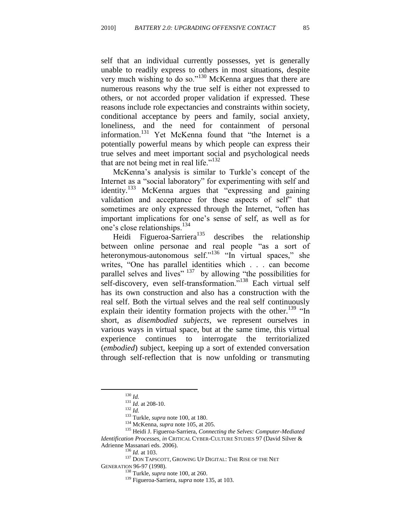self that an individual currently possesses, yet is generally unable to readily express to others in most situations, despite very much wishing to do so." $130$  McKenna argues that there are numerous reasons why the true self is either not expressed to others, or not accorded proper validation if expressed. These reasons include role expectancies and constraints within society, conditional acceptance by peers and family, social anxiety, loneliness, and the need for containment of personal information.<sup>131</sup> Yet McKenna found that "the Internet is a potentially powerful means by which people can express their true selves and meet important social and psychological needs that are not being met in real life." $132$ 

McKenna's analysis is similar to Turkle's concept of the Internet as a "social laboratory" for experimenting with self and identity.<sup>133</sup> McKenna argues that "expressing and gaining validation and acceptance for these aspects of self" that sometimes are only expressed through the Internet, "often has important implications for one's sense of self, as well as for one's close relationships.<sup>134</sup>

Heidi Figueroa-Sarriera<sup>135</sup> describes the relationship between online personae and real people "as a sort of heteronymous-autonomous self."<sup>136</sup> "In virtual spaces," she writes, "One has parallel identities which . . . can become parallel selves and lives"  $137$  by allowing "the possibilities for self-discovery, even self-transformation."<sup>138</sup> Each virtual self has its own construction and also has a construction with the real self. Both the virtual selves and the real self continuously explain their identity formation projects with the other.<sup>139</sup>  $\text{m}$ short, as *disembodied subjects*, we represent ourselves in various ways in virtual space, but at the same time, this virtual experience continues to interrogate the territorialized (*embodied*) subject, keeping up a sort of extended conversation through self-reflection that is now unfolding or transmuting

<sup>130</sup> *Id.*

<sup>131</sup> *Id*. at 208-10.

<sup>132</sup> *Id.*

<sup>133</sup> Turkle, *supra* note 100, at 180.

<sup>134</sup> McKenna, *supra* note 105, at 205.

<sup>135</sup> Heidi J. Figueroa-Sarriera, *Connecting the Selves: Computer-Mediated Identification Processes*, *in* CRITICAL CYBER-CULTURE STUDIES 97 (David Silver & Adrienne Massanari eds. 2006).

<sup>136</sup> *Id.* at 103.

 $^{137}$  DON TAPSCOTT, GROWING UP DIGITAL: THE RISE OF THE NET GENERATION 96-97 (1998).

<sup>138</sup> Turkle, *supra* note 100, at 260.

<sup>139</sup> Figueroa-Sarriera, *supra* note 135, at 103.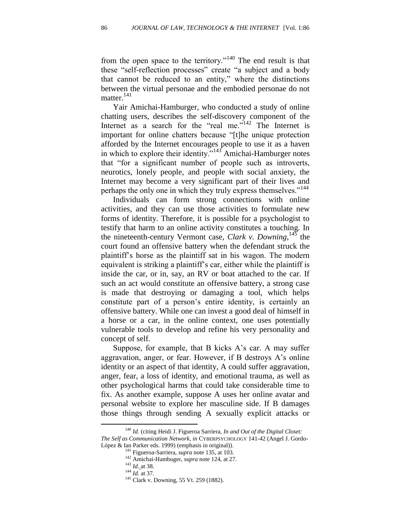from the open space to the territory."<sup>140</sup> The end result is that these "self-reflection processes" create "a subject and a body that cannot be reduced to an entity," where the distinctions between the virtual personae and the embodied personae do not matter.<sup>141</sup>

Yair Amichai-Hamburger, who conducted a study of online chatting users, describes the self-discovery component of the Internet as a search for the "real me." $142$  The Internet is important for online chatters because "[t]he unique protection afforded by the Internet encourages people to use it as a haven in which to explore their identity.<sup> $143$ </sup> Amichai-Hamburger notes that "for a significant number of people such as introverts, neurotics, lonely people, and people with social anxiety, the Internet may become a very significant part of their lives and perhaps the only one in which they truly express themselves."<sup>144</sup>

Individuals can form strong connections with online activities, and they can use those activities to formulate new forms of identity. Therefore, it is possible for a psychologist to testify that harm to an online activity constitutes a touching. In the nineteenth-century Vermont case, *Clark v. Downing*, <sup>145</sup> the court found an offensive battery when the defendant struck the plaintiff's horse as the plaintiff sat in his wagon. The modern equivalent is striking a plaintiff's car, either while the plaintiff is inside the car, or in, say, an RV or boat attached to the car. If such an act would constitute an offensive battery, a strong case is made that destroying or damaging a tool, which helps constitute part of a person's entire identity, is certainly an offensive battery. While one can invest a good deal of himself in a horse or a car, in the online context, one uses potentially vulnerable tools to develop and refine his very personality and concept of self.

Suppose, for example, that B kicks A's car. A may suffer aggravation, anger, or fear. However, if B destroys A's online identity or an aspect of that identity, A could suffer aggravation, anger, fear, a loss of identity, and emotional trauma, as well as other psychological harms that could take considerable time to fix. As another example, suppose A uses her online avatar and personal website to explore her masculine side. If B damages those things through sending A sexually explicit attacks or

<sup>140</sup> *Id.* (citing Heidi J. Figueroa Sarriera, *In and Out of the Digital Closet: The Self as Communication Network*, *in* CYBERPSYCHOLOGY 141-42 (Angel J. Gordo-López & Ian Parker eds. 1999) (emphasis in original)).

<sup>141</sup> Figueroa-Sarriera, *supra* note 135, at 103.

<sup>142</sup> Amichai-Hambuger, *supra* note 124, at 27.

<sup>143</sup> *Id*. at 38.

<sup>144</sup> *Id.* at 37.

<sup>145</sup> Clark v. Downing, 55 Vt. 259 (1882).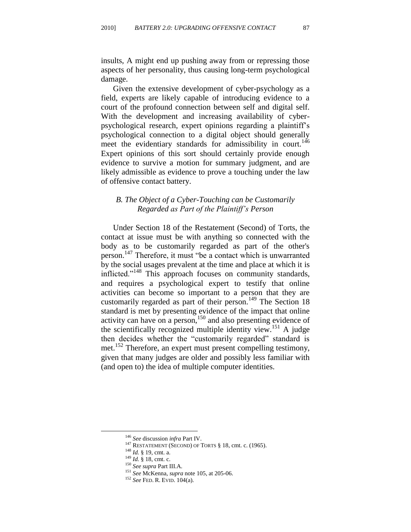insults, A might end up pushing away from or repressing those aspects of her personality, thus causing long-term psychological damage.

Given the extensive development of cyber-psychology as a field, experts are likely capable of introducing evidence to a court of the profound connection between self and digital self. With the development and increasing availability of cyberpsychological research, expert opinions regarding a plaintiff's psychological connection to a digital object should generally meet the evidentiary standards for admissibility in court.<sup>146</sup> Expert opinions of this sort should certainly provide enough evidence to survive a motion for summary judgment, and are likely admissible as evidence to prove a touching under the law of offensive contact battery.

# *B. The Object of a Cyber-Touching can be Customarily Regarded as Part of the Plaintiff's Person*

Under Section 18 of the Restatement (Second) of Torts, the contact at issue must be with anything so connected with the body as to be customarily regarded as part of the other's person.<sup>147</sup> Therefore, it must "be a contact which is unwarranted by the social usages prevalent at the time and place at which it is inflicted."<sup>148</sup> This approach focuses on community standards, and requires a psychological expert to testify that online activities can become so important to a person that they are customarily regarded as part of their person.<sup>149</sup> The Section 18 standard is met by presenting evidence of the impact that online activity can have on a person, $150$  and also presenting evidence of the scientifically recognized multiple identity view.<sup>151</sup> A judge then decides whether the "customarily regarded" standard is met.<sup>152</sup> Therefore, an expert must present compelling testimony, given that many judges are older and possibly less familiar with (and open to) the idea of multiple computer identities.

<sup>146</sup> *See* discussion *infra* Part IV.

<sup>&</sup>lt;sup>147</sup> RESTATEMENT (SECOND) OF TORTS  $§$  18, cmt. c. (1965).

<sup>148</sup> *Id.* § 19, cmt. a.

<sup>149</sup> *Id.* § 18, cmt. c.

<sup>150</sup> *See supra* Part III.A.

<sup>151</sup> *See* McKenna, *supra* note 105, at 205-06.

<sup>152</sup> *See* FED. R. EVID. 104(a).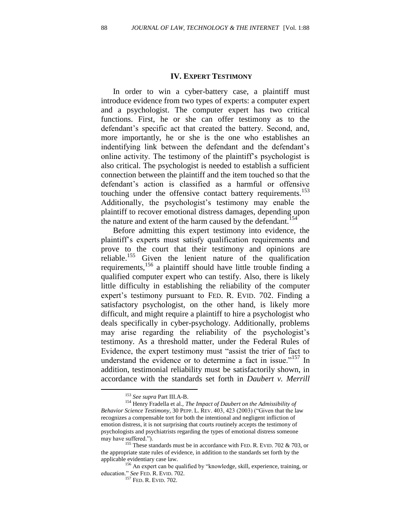#### **IV. EXPERT TESTIMONY**

In order to win a cyber-battery case, a plaintiff must introduce evidence from two types of experts: a computer expert and a psychologist. The computer expert has two critical functions. First, he or she can offer testimony as to the defendant's specific act that created the battery. Second, and, more importantly, he or she is the one who establishes an indentifying link between the defendant and the defendant's online activity. The testimony of the plaintiff's psychologist is also critical. The psychologist is needed to establish a sufficient connection between the plaintiff and the item touched so that the defendant's action is classified as a harmful or offensive touching under the offensive contact battery requirements.<sup>153</sup> Additionally, the psychologist's testimony may enable the plaintiff to recover emotional distress damages, depending upon the nature and extent of the harm caused by the defendant.<sup>154</sup>

Before admitting this expert testimony into evidence, the plaintiff's experts must satisfy qualification requirements and prove to the court that their testimony and opinions are reliable.<sup>155</sup> Given the lenient nature of the qualification requirements,<sup>156</sup> a plaintiff should have little trouble finding a qualified computer expert who can testify. Also, there is likely little difficulty in establishing the reliability of the computer expert's testimony pursuant to FED. R. EVID. 702. Finding a satisfactory psychologist, on the other hand, is likely more difficult, and might require a plaintiff to hire a psychologist who deals specifically in cyber-psychology. Additionally, problems may arise regarding the reliability of the psychologist's testimony. As a threshold matter, under the Federal Rules of Evidence, the expert testimony must "assist the trier of fact to understand the evidence or to determine a fact in issue.<sup> $157$ </sup> In addition, testimonial reliability must be satisfactorily shown, in accordance with the standards set forth in *Daubert v. Merrill* 

<sup>153</sup> *See supra* Part III.A-B.

<sup>154</sup> Henry Fradella et al., *The Impact of Daubert on the Admissibility of Behavior Science Testimony*, 30 PEPP. L. REV. 403, 423 (2003) ("Given that the law recognizes a compensable tort for both the intentional and negligent infliction of emotion distress, it is not surprising that courts routinely accepts the testimony of psychologists and psychiatrists regarding the types of emotional distress someone may have suffered.").

<sup>&</sup>lt;sup>155</sup> These standards must be in accordance with FED. R. EVID. 702 & 703, or the appropriate state rules of evidence, in addition to the standards set forth by the applicable evidentiary case law.

<sup>156</sup> An expert can be qualified by "knowledge, skill, experience, training, or education." See FED. R. EVID. 702.

<sup>&</sup>lt;sup>157</sup> FED. R. EVID. 702.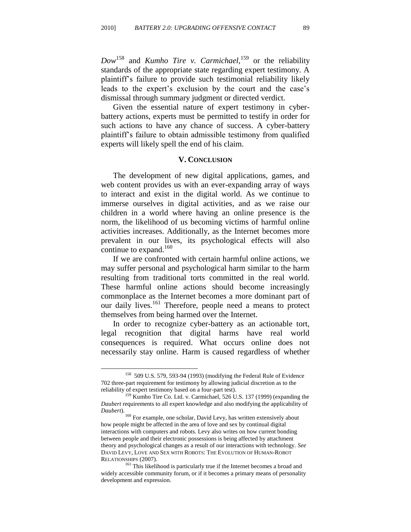*Dow*<sup>158</sup> and *Kumho Tire v. Carmichael,*<sup>159</sup> or the reliability standards of the appropriate state regarding expert testimony. A plaintiff's failure to provide such testimonial reliability likely leads to the expert's exclusion by the court and the case's dismissal through summary judgment or directed verdict.

Given the essential nature of expert testimony in cyberbattery actions, experts must be permitted to testify in order for such actions to have any chance of success. A cyber-battery plaintiff's failure to obtain admissible testimony from qualified experts will likely spell the end of his claim.

#### **V. CONCLUSION**

The development of new digital applications, games, and web content provides us with an ever-expanding array of ways to interact and exist in the digital world. As we continue to immerse ourselves in digital activities, and as we raise our children in a world where having an online presence is the norm, the likelihood of us becoming victims of harmful online activities increases. Additionally, as the Internet becomes more prevalent in our lives, its psychological effects will also continue to expand. $160$ 

If we are confronted with certain harmful online actions, we may suffer personal and psychological harm similar to the harm resulting from traditional torts committed in the real world. These harmful online actions should become increasingly commonplace as the Internet becomes a more dominant part of our daily lives.<sup>161</sup> Therefore, people need a means to protect themselves from being harmed over the Internet.

In order to recognize cyber-battery as an actionable tort, legal recognition that digital harms have real world consequences is required. What occurs online does not necessarily stay online. Harm is caused regardless of whether

<sup>158</sup> 509 U.S. 579, 593-94 (1993) (modifying the Federal Rule of Evidence 702 three-part requirement for testimony by allowing judicial discretion as to the reliability of expert testimony based on a four-part test).

<sup>&</sup>lt;sup>159</sup> Kumho Tire Co. Ltd. v. Carmichael, 526 U.S. 137 (1999) (expanding the *Daubert* requirements to all expert knowledge and also modifying the applicability of *Daubert*).

<sup>160</sup> For example, one scholar, David Levy, has written extensively about how people might be affected in the area of love and sex by continual digital interactions with computers and robots. Levy also writes on how current bonding between people and their electronic possessions is being affected by attachment theory and psychological changes as a result of our interactions with technology. *See* DAVID LEVY, LOVE AND SEX WITH ROBOTS: THE EVOLUTION OF HUMAN-ROBOT RELATIONSHIPS (2007).

<sup>&</sup>lt;sup>161</sup> This likelihood is particularly true if the Internet becomes a broad and widely accessible community forum, or if it becomes a primary means of personality development and expression.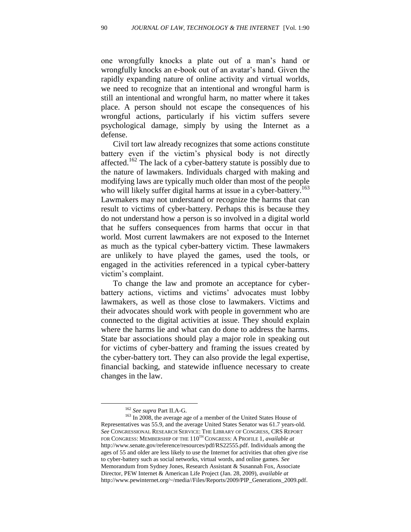one wrongfully knocks a plate out of a man's hand or wrongfully knocks an e-book out of an avatar's hand. Given the rapidly expanding nature of online activity and virtual worlds, we need to recognize that an intentional and wrongful harm is still an intentional and wrongful harm, no matter where it takes place. A person should not escape the consequences of his wrongful actions, particularly if his victim suffers severe psychological damage, simply by using the Internet as a defense.

Civil tort law already recognizes that some actions constitute battery even if the victim's physical body is not directly affected.<sup>162</sup> The lack of a cyber-battery statute is possibly due to the nature of lawmakers. Individuals charged with making and modifying laws are typically much older than most of the people who will likely suffer digital harms at issue in a cyber-battery.<sup>163</sup> Lawmakers may not understand or recognize the harms that can result to victims of cyber-battery. Perhaps this is because they do not understand how a person is so involved in a digital world that he suffers consequences from harms that occur in that world. Most current lawmakers are not exposed to the Internet as much as the typical cyber-battery victim. These lawmakers are unlikely to have played the games, used the tools, or engaged in the activities referenced in a typical cyber-battery victim's complaint.

To change the law and promote an acceptance for cyberbattery actions, victims and victims' advocates must lobby lawmakers, as well as those close to lawmakers. Victims and their advocates should work with people in government who are connected to the digital activities at issue. They should explain where the harms lie and what can do done to address the harms. State bar associations should play a major role in speaking out for victims of cyber-battery and framing the issues created by the cyber-battery tort. They can also provide the legal expertise, financial backing, and statewide influence necessary to create changes in the law.

<sup>162</sup> *See supra* Part II.A-G.

<sup>&</sup>lt;sup>163</sup> In 2008, the average age of a member of the United States House of Representatives was 55.9, and the average United States Senator was 61.7 years-old. *See* CONGRESSIONAL RESEARCH SERVICE: THE LIBRARY OF CONGRESS, CRS REPORT FOR CONGRESS: MEMBERSHIP OF THE 110TH CONGRESS: A PROFILE 1, *available at* http://www.senate.gov/reference/resources/pdf/RS22555.pdf. Individuals among the ages of 55 and older are less likely to use the Internet for activities that often give rise to cyber-battery such as social networks, virtual words, and online games. *See* Memorandum from Sydney Jones, Research Assistant & Susannah Fox, Associate Director, PEW Internet & American Life Project (Jan. 28, 2009), *available at* http://www.pewinternet.org/~/media//Files/Reports/2009/PIP\_Generations\_2009.pdf.